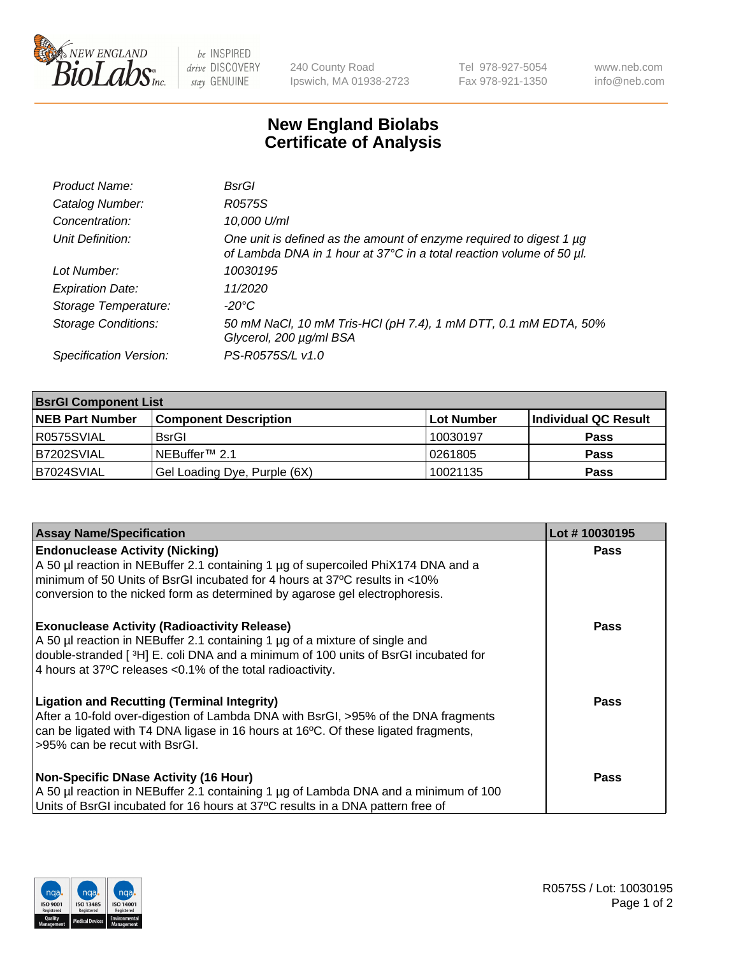

 $be$  INSPIRED drive DISCOVERY stay GENUINE

240 County Road Ipswich, MA 01938-2723 Tel 978-927-5054 Fax 978-921-1350 www.neb.com info@neb.com

## **New England Biolabs Certificate of Analysis**

| Product Name:              | BsrGl                                                                                                                                            |
|----------------------------|--------------------------------------------------------------------------------------------------------------------------------------------------|
| Catalog Number:            | R0575S                                                                                                                                           |
| Concentration:             | 10,000 U/ml                                                                                                                                      |
| Unit Definition:           | One unit is defined as the amount of enzyme required to digest 1 $\mu$ g<br>of Lambda DNA in 1 hour at 37°C in a total reaction volume of 50 µl. |
| Lot Number:                | 10030195                                                                                                                                         |
| <b>Expiration Date:</b>    | 11/2020                                                                                                                                          |
| Storage Temperature:       | -20°C                                                                                                                                            |
| <b>Storage Conditions:</b> | 50 mM NaCl, 10 mM Tris-HCl (pH 7.4), 1 mM DTT, 0.1 mM EDTA, 50%<br>Glycerol, 200 µg/ml BSA                                                       |
| Specification Version:     | PS-R0575S/L v1.0                                                                                                                                 |

| <b>BsrGI Component List</b> |                              |             |                      |  |  |
|-----------------------------|------------------------------|-------------|----------------------|--|--|
| <b>NEB Part Number</b>      | <b>Component Description</b> | ∣Lot Number | Individual QC Result |  |  |
| I R0575SVIAL                | <b>BsrGI</b>                 | 10030197    | <b>Pass</b>          |  |  |
| B7202SVIAL                  | l NEBuffer™ 2.1              | 10261805    | <b>Pass</b>          |  |  |
| B7024SVIAL                  | Gel Loading Dye, Purple (6X) | 10021135    | <b>Pass</b>          |  |  |

| <b>Assay Name/Specification</b>                                                                                                                                                                                                                                                         | Lot #10030195 |
|-----------------------------------------------------------------------------------------------------------------------------------------------------------------------------------------------------------------------------------------------------------------------------------------|---------------|
| <b>Endonuclease Activity (Nicking)</b><br>A 50 µl reaction in NEBuffer 2.1 containing 1 µg of supercoiled PhiX174 DNA and a                                                                                                                                                             | <b>Pass</b>   |
| minimum of 50 Units of BsrGI incubated for 4 hours at 37°C results in <10%<br>conversion to the nicked form as determined by agarose gel electrophoresis.                                                                                                                               |               |
| <b>Exonuclease Activity (Radioactivity Release)</b><br>A 50 µl reaction in NEBuffer 2.1 containing 1 µg of a mixture of single and<br>double-stranded [3H] E. coli DNA and a minimum of 100 units of BsrGI incubated for<br>4 hours at 37°C releases < 0.1% of the total radioactivity. | Pass          |
| <b>Ligation and Recutting (Terminal Integrity)</b><br>After a 10-fold over-digestion of Lambda DNA with BsrGI, >95% of the DNA fragments<br>can be ligated with T4 DNA ligase in 16 hours at 16 $\degree$ C. Of these ligated fragments,<br>l >95% can be recut with BsrGI.             | Pass          |
| <b>Non-Specific DNase Activity (16 Hour)</b><br>A 50 µl reaction in NEBuffer 2.1 containing 1 µg of Lambda DNA and a minimum of 100<br>Units of BsrGI incubated for 16 hours at 37°C results in a DNA pattern free of                                                                   | <b>Pass</b>   |